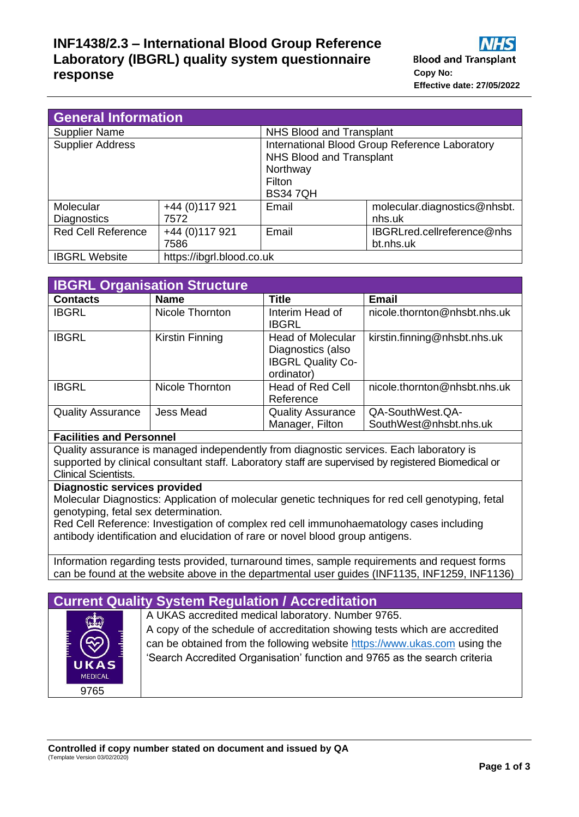## **INF1438/2.3 – International Blood Group Reference Laboratory (IBGRL) quality system questionnaire response Copy No:**

| <b>General Information</b>      |                           |                                                                                                                           |                                        |  |
|---------------------------------|---------------------------|---------------------------------------------------------------------------------------------------------------------------|----------------------------------------|--|
| <b>Supplier Name</b>            |                           | NHS Blood and Transplant                                                                                                  |                                        |  |
| <b>Supplier Address</b>         |                           | International Blood Group Reference Laboratory<br>NHS Blood and Transplant<br>Northway<br><b>Filton</b><br><b>BS347QH</b> |                                        |  |
| Molecular<br><b>Diagnostics</b> | +44 (0) 117 921<br>7572   | Email                                                                                                                     | molecular.diagnostics@nhsbt.<br>nhs.uk |  |
| <b>Red Cell Reference</b>       | +44 (0) 117 921           | Email                                                                                                                     | IBGRLred.cellreference@nhs             |  |
|                                 | 7586                      |                                                                                                                           | bt.nhs.uk                              |  |
| <b>IBGRL Website</b>            | https://ibgrl.blood.co.uk |                                                                                                                           |                                        |  |

| <b>IBGRL Organisation Structure</b> |                  |                                                                                         |                                            |  |  |
|-------------------------------------|------------------|-----------------------------------------------------------------------------------------|--------------------------------------------|--|--|
| <b>Contacts</b>                     | <b>Name</b>      | <b>Title</b>                                                                            | <b>Email</b>                               |  |  |
| <b>IBGRL</b>                        | Nicole Thornton  | Interim Head of<br>IBGRL                                                                | nicole.thornton@nhsbt.nhs.uk               |  |  |
| <b>IBGRL</b>                        | Kirstin Finning  | <b>Head of Molecular</b><br>Diagnostics (also<br><b>IBGRL Quality Co-</b><br>ordinator) | kirstin.finning@nhsbt.nhs.uk               |  |  |
| <b>IBGRL</b>                        | Nicole Thornton  | <b>Head of Red Cell</b><br>Reference                                                    | nicole.thornton@nhsbt.nhs.uk               |  |  |
| <b>Quality Assurance</b>            | <b>Jess Mead</b> | <b>Quality Assurance</b><br>Manager, Filton                                             | QA-SouthWest.QA-<br>SouthWest@nhsbt.nhs.uk |  |  |

#### **Facilities and Personnel**

Quality assurance is managed independently from diagnostic services. Each laboratory is supported by clinical consultant staff. Laboratory staff are supervised by registered Biomedical or Clinical Scientists.

#### **Diagnostic services provided**

Molecular Diagnostics: Application of molecular genetic techniques for red cell genotyping, fetal genotyping, fetal sex determination.

Red Cell Reference: Investigation of complex red cell immunohaematology cases including antibody identification and elucidation of rare or novel blood group antigens.

Information regarding tests provided, turnaround times, sample requirements and request forms can be found at the website above in the departmental user guides (INF1135, INF1259, INF1136)

## **Current Quality System Regulation / Accreditation**



A UKAS accredited medical laboratory. Number 9765. A copy of the schedule of accreditation showing tests which are accredited can be obtained from the following website [https://www.ukas.com](https://www.ukas.com/) using the 'Search Accredited Organisation' function and 9765 as the search criteria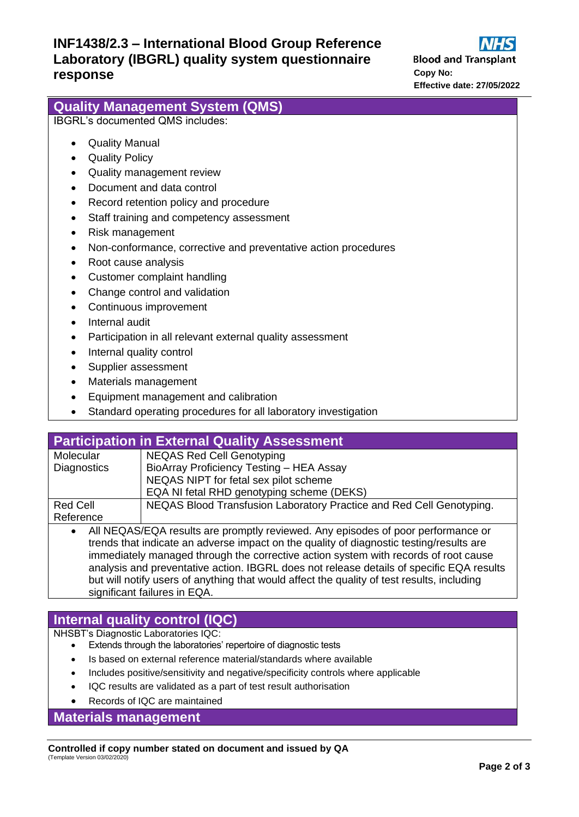**Blood and Transplant Effective date: 27/05/2022**

|                                                                             | <b>Effective date: 27/05/2022</b> |
|-----------------------------------------------------------------------------|-----------------------------------|
| <b>Quality Management System (QMS)</b>                                      |                                   |
| <b>IBGRL's documented QMS includes:</b>                                     |                                   |
| <b>Quality Manual</b><br>$\bullet$                                          |                                   |
| <b>Quality Policy</b><br>$\bullet$                                          |                                   |
| Quality management review<br>$\bullet$                                      |                                   |
| Document and data control                                                   |                                   |
| Record retention policy and procedure<br>$\bullet$                          |                                   |
| Staff training and competency assessment<br>$\bullet$                       |                                   |
| Risk management<br>$\bullet$                                                |                                   |
| Non-conformance, corrective and preventative action procedures<br>$\bullet$ |                                   |
| Root cause analysis<br>$\bullet$                                            |                                   |
| Customer complaint handling<br>$\bullet$                                    |                                   |
| Change control and validation<br>$\bullet$                                  |                                   |
| Continuous improvement<br>$\bullet$                                         |                                   |
| Internal audit<br>$\bullet$                                                 |                                   |
| Participation in all relevant external quality assessment<br>$\bullet$      |                                   |
| Internal quality control<br>$\bullet$                                       |                                   |
| Supplier assessment                                                         |                                   |
| Motoriale managament                                                        |                                   |

- Materials management
- Equipment management and calibration
- Standard operating procedures for all laboratory investigation

| <b>Participation in External Quality Assessment</b>                                           |                                                                      |  |  |  |
|-----------------------------------------------------------------------------------------------|----------------------------------------------------------------------|--|--|--|
| Molecular                                                                                     | <b>NEQAS Red Cell Genotyping</b>                                     |  |  |  |
| <b>Diagnostics</b>                                                                            | BioArray Proficiency Testing - HEA Assay                             |  |  |  |
|                                                                                               | NEQAS NIPT for fetal sex pilot scheme                                |  |  |  |
|                                                                                               | EQA NI fetal RHD genotyping scheme (DEKS)                            |  |  |  |
| <b>Red Cell</b>                                                                               | NEQAS Blood Transfusion Laboratory Practice and Red Cell Genotyping. |  |  |  |
| Reference                                                                                     |                                                                      |  |  |  |
| All NEQAS/EQA results are promptly reviewed. Any episodes of poor performance or<br>$\bullet$ |                                                                      |  |  |  |
| trends that indicate an adverse impact on the quality of diagnostic testing/results are       |                                                                      |  |  |  |
| immediately managed through the corrective action system with records of root cause           |                                                                      |  |  |  |

immediately managed through the corrective action system with records of root cause analysis and preventative action. IBGRL does not release details of specific EQA results but will notify users of anything that would affect the quality of test results, including significant failures in EQA.

# **Internal quality control (IQC)**

NHSBT's Diagnostic Laboratories IQC:

- Extends through the laboratories' repertoire of diagnostic tests
- Is based on external reference material/standards where available
- Includes positive/sensitivity and negative/specificity controls where applicable
- IQC results are validated as a part of test result authorisation
- Records of IQC are maintained

**Materials management**